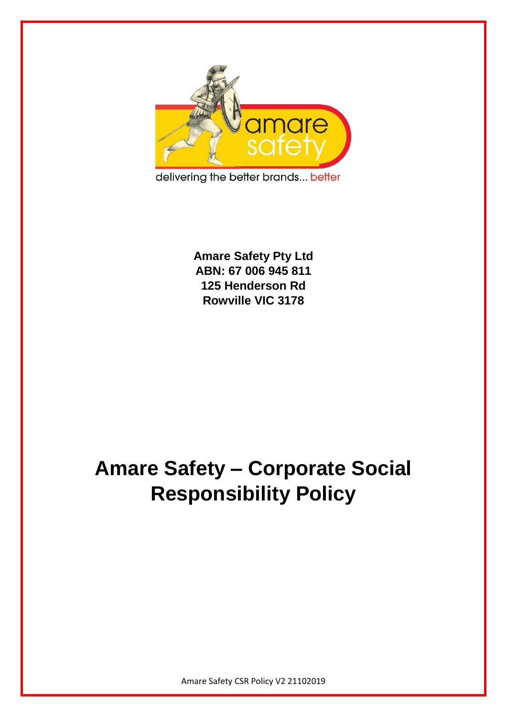

delivering the better brands... better

**Amare Safety Pty Ltd ABN: 67 006 945 811 125 Henderson Rd Rowville VIC 3178**

## **Amare Safety – Corporate Social Responsibility Policy**

Amare Safety CSR Policy V2 21102019